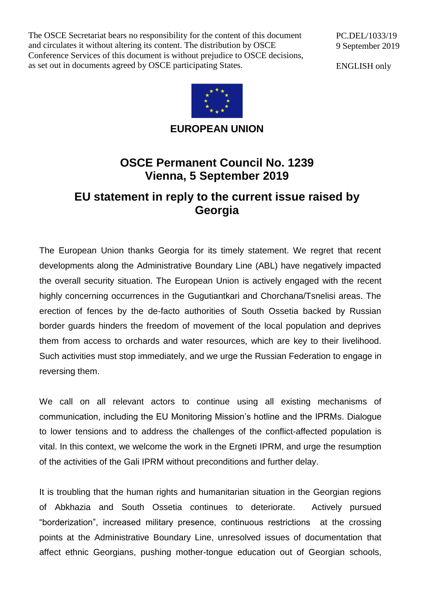The OSCE Secretariat bears no responsibility for the content of this document and circulates it without altering its content. The distribution by OSCE Conference Services of this document is without prejudice to OSCE decisions, as set out in documents agreed by OSCE participating States.

PC.DEL/1033/19 9 September 2019

ENGLISH only



**EUROPEAN UNION**

## **OSCE Permanent Council No. 1239 Vienna, 5 September 2019**

## **EU statement in reply to the current issue raised by Georgia**

The European Union thanks Georgia for its timely statement. We regret that recent developments along the Administrative Boundary Line (ABL) have negatively impacted the overall security situation. The European Union is actively engaged with the recent highly concerning occurrences in the Gugutiantkari and Chorchana/Tsnelisi areas. The erection of fences by the de-facto authorities of South Ossetia backed by Russian border guards hinders the freedom of movement of the local population and deprives them from access to orchards and water resources, which are key to their livelihood. Such activities must stop immediately, and we urge the Russian Federation to engage in reversing them.

We call on all relevant actors to continue using all existing mechanisms of communication, including the EU Monitoring Mission's hotline and the IPRMs. Dialogue to lower tensions and to address the challenges of the conflict-affected population is vital. In this context, we welcome the work in the Ergneti IPRM, and urge the resumption of the activities of the Gali IPRM without preconditions and further delay.

It is troubling that the human rights and humanitarian situation in the Georgian regions of Abkhazia and South Ossetia continues to deteriorate. Actively pursued "borderization", increased military presence, continuous restrictions at the crossing points at the Administrative Boundary Line, unresolved issues of documentation that affect ethnic Georgians, pushing mother-tongue education out of Georgian schools,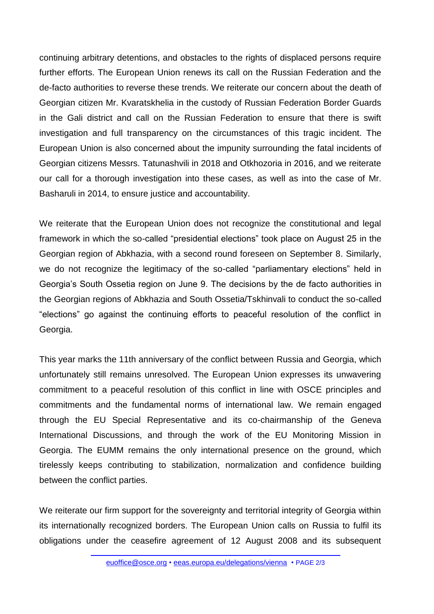continuing arbitrary detentions, and obstacles to the rights of displaced persons require further efforts. The European Union renews its call on the Russian Federation and the de-facto authorities to reverse these trends. We reiterate our concern about the death of Georgian citizen Mr. Kvaratskhelia in the custody of Russian Federation Border Guards in the Gali district and call on the Russian Federation to ensure that there is swift investigation and full transparency on the circumstances of this tragic incident. The European Union is also concerned about the impunity surrounding the fatal incidents of Georgian citizens Messrs. Tatunashvili in 2018 and Otkhozoria in 2016, and we reiterate our call for a thorough investigation into these cases, as well as into the case of Mr. Basharuli in 2014, to ensure justice and accountability.

We reiterate that the European Union does not recognize the constitutional and legal framework in which the so-called "presidential elections" took place on August 25 in the Georgian region of Abkhazia, with a second round foreseen on September 8. Similarly, we do not recognize the legitimacy of the so-called "parliamentary elections" held in Georgia's South Ossetia region on June 9. The decisions by the de facto authorities in the Georgian regions of Abkhazia and South Ossetia/Tskhinvali to conduct the so-called "elections" go against the continuing efforts to peaceful resolution of the conflict in Georgia.

This year marks the 11th anniversary of the conflict between Russia and Georgia, which unfortunately still remains unresolved. The European Union expresses its unwavering commitment to a peaceful resolution of this conflict in line with OSCE principles and commitments and the fundamental norms of international law. We remain engaged through the EU Special Representative and its co-chairmanship of the Geneva International Discussions, and through the work of the EU Monitoring Mission in Georgia. The EUMM remains the only international presence on the ground, which tirelessly keeps contributing to stabilization, normalization and confidence building between the conflict parties.

We reiterate our firm support for the sovereignty and territorial integrity of Georgia within its internationally recognized borders. The European Union calls on Russia to fulfil its obligations under the ceasefire agreement of 12 August 2008 and its subsequent